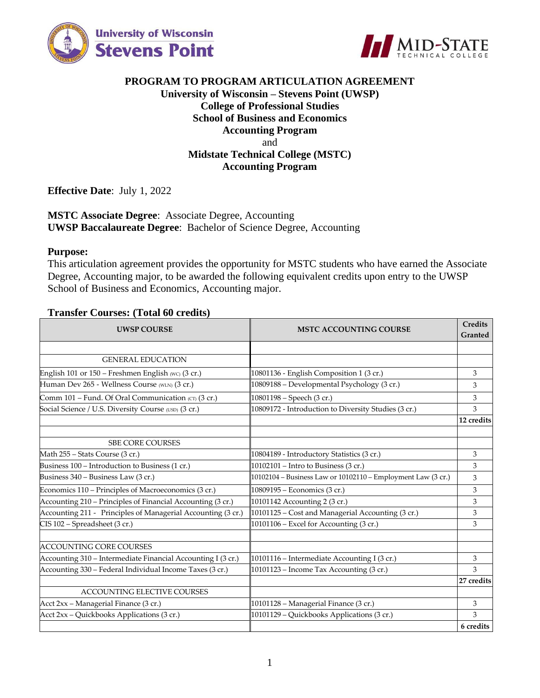



## **PROGRAM TO PROGRAM ARTICULATION AGREEMENT University of Wisconsin – Stevens Point (UWSP) College of Professional Studies School of Business and Economics Accounting Program** and **Midstate Technical College (MSTC) Accounting Program**

**Effective Date**: July 1, 2022

### **MSTC Associate Degree**: Associate Degree, Accounting **UWSP Baccalaureate Degree**: Bachelor of Science Degree, Accounting

#### **Purpose:**

This articulation agreement provides the opportunity for MSTC students who have earned the Associate Degree, Accounting major, to be awarded the following equivalent credits upon entry to the UWSP School of Business and Economics, Accounting major.

#### **Transfer Courses: (Total 60 credits)**

| <b>UWSP COURSE</b>                                           | <b>MSTC ACCOUNTING COURSE</b>                                | <b>Credits</b><br>Granted |
|--------------------------------------------------------------|--------------------------------------------------------------|---------------------------|
|                                                              |                                                              |                           |
| <b>GENERAL EDUCATION</b>                                     |                                                              |                           |
| English 101 or 150 - Freshmen English (WC) (3 cr.)           | 10801136 - English Composition 1 (3 cr.)                     | 3                         |
| Human Dev 265 - Wellness Course (WLN) (3 cr.)                | 10809188 - Developmental Psychology (3 cr.)                  | 3                         |
| Comm 101 – Fund. Of Oral Communication (CT) (3 cr.)          | 10801198 - Speech (3 cr.)                                    | 3                         |
| Social Science / U.S. Diversity Course (USD) (3 cr.)         | 10809172 - Introduction to Diversity Studies (3 cr.)         | 3                         |
|                                                              |                                                              | 12 credits                |
|                                                              |                                                              |                           |
| <b>SBE CORE COURSES</b>                                      |                                                              |                           |
| Math 255 - Stats Course (3 cr.)                              | 10804189 - Introductory Statistics (3 cr.)                   | 3                         |
| Business 100 – Introduction to Business (1 cr.)              | 10102101 – Intro to Business (3 cr.)                         | 3                         |
| Business 340 - Business Law (3 cr.)                          | 10102104 - Business Law or 10102110 - Employment Law (3 cr.) | 3                         |
| Economics 110 – Principles of Macroeconomics (3 cr.)         | 10809195 – Economics (3 cr.)                                 | 3                         |
| Accounting 210 - Principles of Financial Accounting (3 cr.)  | 10101142 Accounting 2 (3 cr.)                                | 3                         |
| Accounting 211 - Principles of Managerial Accounting (3 cr.) | 10101125 - Cost and Managerial Accounting (3 cr.)            | 3                         |
| CIS 102 - Spreadsheet (3 cr.)                                | 10101106 - Excel for Accounting (3 cr.)                      | 3                         |
|                                                              |                                                              |                           |
| <b>ACCOUNTING CORE COURSES</b>                               |                                                              |                           |
| Accounting 310 - Intermediate Financial Accounting I (3 cr.) | 10101116 - Intermediate Accounting I (3 cr.)                 | 3                         |
| Accounting 330 - Federal Individual Income Taxes (3 cr.)     | 10101123 – Income Tax Accounting $(3 \text{ cr.})$           | 3                         |
|                                                              |                                                              | 27 credits                |
| <b>ACCOUNTING ELECTIVE COURSES</b>                           |                                                              |                           |
| Acct 2xx - Managerial Finance (3 cr.)                        | 10101128 - Managerial Finance (3 cr.)                        | 3                         |
| Acct 2xx - Quickbooks Applications (3 cr.)                   | 10101129 - Quickbooks Applications (3 cr.)                   | 3                         |
|                                                              |                                                              | 6 credits                 |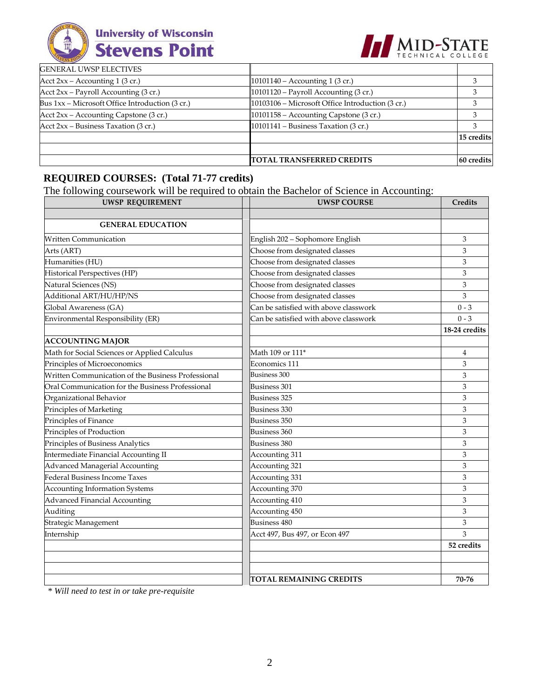



|                                                 | <b>TOTAL TRANSFERRED CREDITS</b>                 | 60 credits |
|-------------------------------------------------|--------------------------------------------------|------------|
|                                                 |                                                  |            |
|                                                 |                                                  | 15 credits |
| Acct $2xx - Business Taxation (3 cr.)$          | 10101141 – Business Taxation $(3 \text{ cr.})$   |            |
| Acct $2xx$ – Accounting Capstone (3 cr.)        | $10101158 -$ Accounting Capstone (3 cr.)         |            |
| Bus 1xx – Microsoft Office Introduction (3 cr.) | 10103106 – Microsoft Office Introduction (3 cr.) |            |
| Acct 2xx – Payroll Accounting (3 cr.)           | $10101120$ – Payroll Accounting (3 cr.)          | з          |
| Acct $2xx -$ Accounting 1 (3 cr.)               | $10101140 -$ Accounting 1 (3 cr.)                |            |
| <b>GENERAL UWSP ELECTIVES</b>                   |                                                  |            |

 $\mathbf T$ 

# **REQUIRED COURSES: (Total 71-77 credits)**

The following coursework will be required to obtain the Bachelor of Science in Accounting:

| <b>UWSP REQUIREMENT</b>                            | <b>UWSP COURSE</b>                    | Credits       |
|----------------------------------------------------|---------------------------------------|---------------|
|                                                    |                                       |               |
| <b>GENERAL EDUCATION</b>                           |                                       |               |
| <b>Written Communication</b>                       | English 202 - Sophomore English       | 3             |
| Arts (ART)                                         | Choose from designated classes        | 3             |
| Humanities (HU)                                    | Choose from designated classes        | 3             |
| Historical Perspectives (HP)                       | Choose from designated classes        | 3             |
| Natural Sciences (NS)                              | Choose from designated classes        | 3             |
| Additional ART/HU/HP/NS                            | Choose from designated classes        | 3             |
| Global Awareness (GA)                              | Can be satisfied with above classwork | $0 - 3$       |
| Environmental Responsibility (ER)                  | Can be satisfied with above classwork | $0 - 3$       |
|                                                    |                                       | 18-24 credits |
| <b>ACCOUNTING MAJOR</b>                            |                                       |               |
| Math for Social Sciences or Applied Calculus       | Math 109 or 111 <sup>*</sup>          | 4             |
| Principles of Microeconomics                       | Economics 111                         | 3             |
| Written Communication of the Business Professional | Business 300                          | 3             |
| Oral Communication for the Business Professional   | <b>Business 301</b>                   | 3             |
| Organizational Behavior                            | <b>Business 325</b>                   | 3             |
| Principles of Marketing                            | Business 330                          | 3             |
| Principles of Finance                              | <b>Business 350</b>                   | 3             |
| Principles of Production                           | Business 360                          | 3             |
| Principles of Business Analytics                   | <b>Business 380</b>                   | 3             |
| Intermediate Financial Accounting II               | Accounting 311                        | 3             |
| Advanced Managerial Accounting                     | Accounting 321                        | 3             |
| Federal Business Income Taxes                      | Accounting 331                        | 3             |
| <b>Accounting Information Systems</b>              | Accounting 370                        | 3             |
| <b>Advanced Financial Accounting</b>               | Accounting 410                        | 3             |
| Auditing                                           | Accounting 450                        | 3             |
| Strategic Management                               | <b>Business 480</b>                   | 3             |
| Internship                                         | Acct 497, Bus 497, or Econ 497        | 3             |
|                                                    |                                       | 52 credits    |
|                                                    |                                       |               |
|                                                    |                                       |               |
|                                                    | TOTAL REMAINING CREDITS               | 70-76         |

*\* Will need to test in or take pre-requisite*